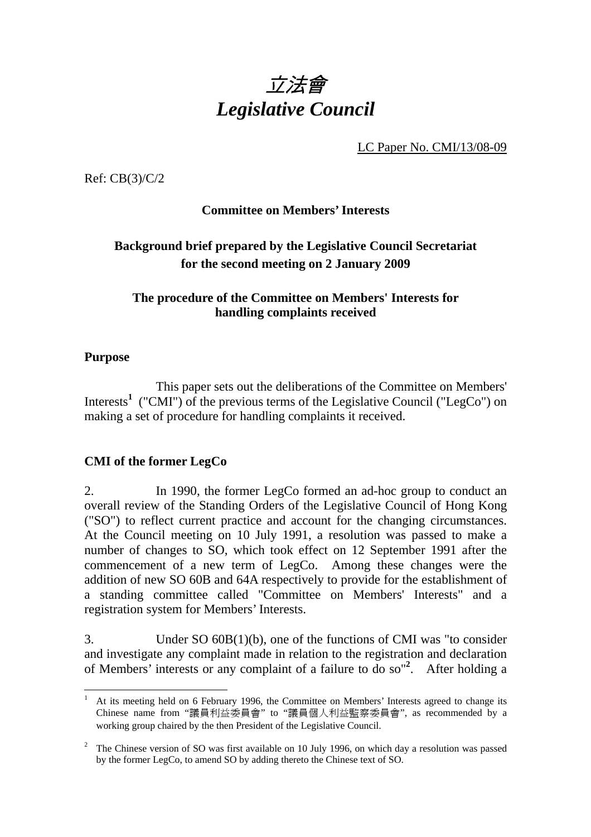

LC Paper No. CMI/13/08-09

Ref: CB(3)/C/2

### **Committee on Members' Interests**

# **Background brief prepared by the Legislative Council Secretariat for the second meeting on 2 January 2009**

### **The procedure of the Committee on Members' Interests for handling complaints received**

### **Purpose**

This paper sets out the deliberations of the Committee on Members' Interests<sup>1</sup> ("CMI") of the previous terms of the Legislative Council ("LegCo") on making a set of procedure for handling complaints it received.

### **CMI of the former LegCo**

2. In 1990, the former LegCo formed an ad-hoc group to conduct an overall review of the Standing Orders of the Legislative Council of Hong Kong ("SO") to reflect current practice and account for the changing circumstances. At the Council meeting on 10 July 1991, a resolution was passed to make a number of changes to SO, which took effect on 12 September 1991 after the commencement of a new term of LegCo. Among these changes were the addition of new SO 60B and 64A respectively to provide for the establishment of a standing committee called "Committee on Members' Interests" and a registration system for Members' Interests.

3. Under SO 60B(1)(b), one of the functions of CMI was "to consider and investigate any complaint made in relation to the registration and declaration of Members' interests or any complaint of a failure to do so"**<sup>2</sup>** . After holding a

 $\overline{a}$ 1 At its meeting held on 6 February 1996, the Committee on Members' Interests agreed to change its Chinese name from "議員利益委員會" to "議員個人利益監察委員會", as recommended by a working group chaired by the then President of the Legislative Council.

<sup>&</sup>lt;sup>2</sup> The Chinese version of SO was first available on 10 July 1996, on which day a resolution was passed by the former LegCo, to amend SO by adding thereto the Chinese text of SO.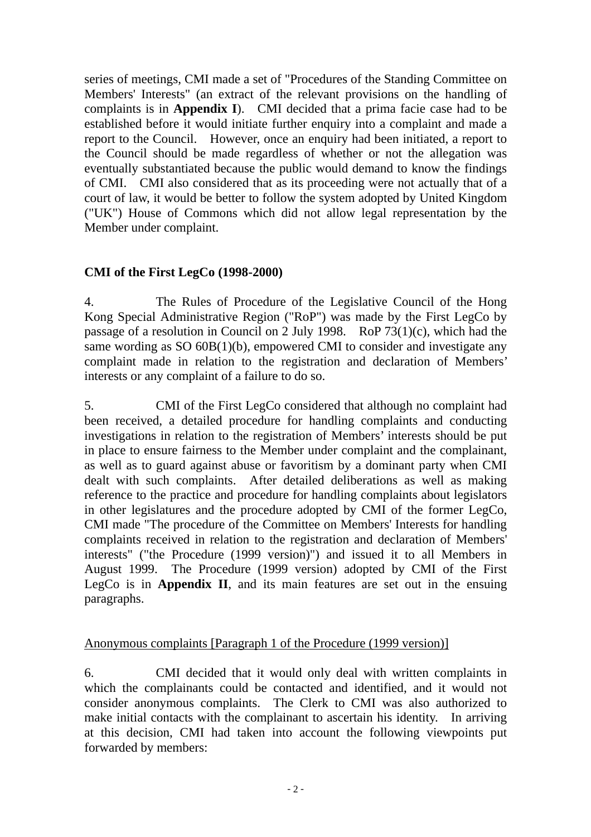series of meetings, CMI made a set of "Procedures of the Standing Committee on Members' Interests" (an extract of the relevant provisions on the handling of complaints is in **Appendix I**). CMI decided that a prima facie case had to be established before it would initiate further enquiry into a complaint and made a report to the Council. However, once an enquiry had been initiated, a report to the Council should be made regardless of whether or not the allegation was eventually substantiated because the public would demand to know the findings of CMI. CMI also considered that as its proceeding were not actually that of a court of law, it would be better to follow the system adopted by United Kingdom ("UK") House of Commons which did not allow legal representation by the Member under complaint.

# **CMI of the First LegCo (1998-2000)**

4. The Rules of Procedure of the Legislative Council of the Hong Kong Special Administrative Region ("RoP") was made by the First LegCo by passage of a resolution in Council on 2 July 1998. RoP 73(1)(c), which had the same wording as SO 60B(1)(b), empowered CMI to consider and investigate any complaint made in relation to the registration and declaration of Members' interests or any complaint of a failure to do so.

5. CMI of the First LegCo considered that although no complaint had been received, a detailed procedure for handling complaints and conducting investigations in relation to the registration of Members' interests should be put in place to ensure fairness to the Member under complaint and the complainant, as well as to guard against abuse or favoritism by a dominant party when CMI dealt with such complaints. After detailed deliberations as well as making reference to the practice and procedure for handling complaints about legislators in other legislatures and the procedure adopted by CMI of the former LegCo, CMI made "The procedure of the Committee on Members' Interests for handling complaints received in relation to the registration and declaration of Members' interests" ("the Procedure (1999 version)") and issued it to all Members in August 1999. The Procedure (1999 version) adopted by CMI of the First LegCo is in **Appendix II**, and its main features are set out in the ensuing paragraphs.

### Anonymous complaints [Paragraph 1 of the Procedure (1999 version)]

6. CMI decided that it would only deal with written complaints in which the complainants could be contacted and identified, and it would not consider anonymous complaints. The Clerk to CMI was also authorized to make initial contacts with the complainant to ascertain his identity. In arriving at this decision, CMI had taken into account the following viewpoints put forwarded by members: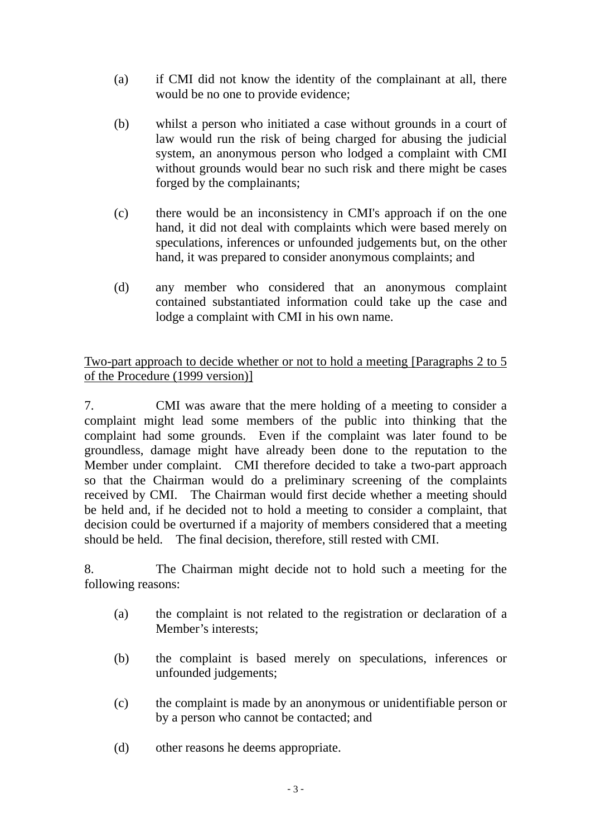- (a) if CMI did not know the identity of the complainant at all, there would be no one to provide evidence;
- (b) whilst a person who initiated a case without grounds in a court of law would run the risk of being charged for abusing the judicial system, an anonymous person who lodged a complaint with CMI without grounds would bear no such risk and there might be cases forged by the complainants;
- (c) there would be an inconsistency in CMI's approach if on the one hand, it did not deal with complaints which were based merely on speculations, inferences or unfounded judgements but, on the other hand, it was prepared to consider anonymous complaints; and
- (d) any member who considered that an anonymous complaint contained substantiated information could take up the case and lodge a complaint with CMI in his own name.

### Two-part approach to decide whether or not to hold a meeting [Paragraphs 2 to 5 of the Procedure (1999 version)]

7. CMI was aware that the mere holding of a meeting to consider a complaint might lead some members of the public into thinking that the complaint had some grounds. Even if the complaint was later found to be groundless, damage might have already been done to the reputation to the Member under complaint. CMI therefore decided to take a two-part approach so that the Chairman would do a preliminary screening of the complaints received by CMI. The Chairman would first decide whether a meeting should be held and, if he decided not to hold a meeting to consider a complaint, that decision could be overturned if a majority of members considered that a meeting should be held. The final decision, therefore, still rested with CMI.

8. The Chairman might decide not to hold such a meeting for the following reasons:

- (a) the complaint is not related to the registration or declaration of a Member's interests;
- (b) the complaint is based merely on speculations, inferences or unfounded judgements;
- (c) the complaint is made by an anonymous or unidentifiable person or by a person who cannot be contacted; and
- (d) other reasons he deems appropriate.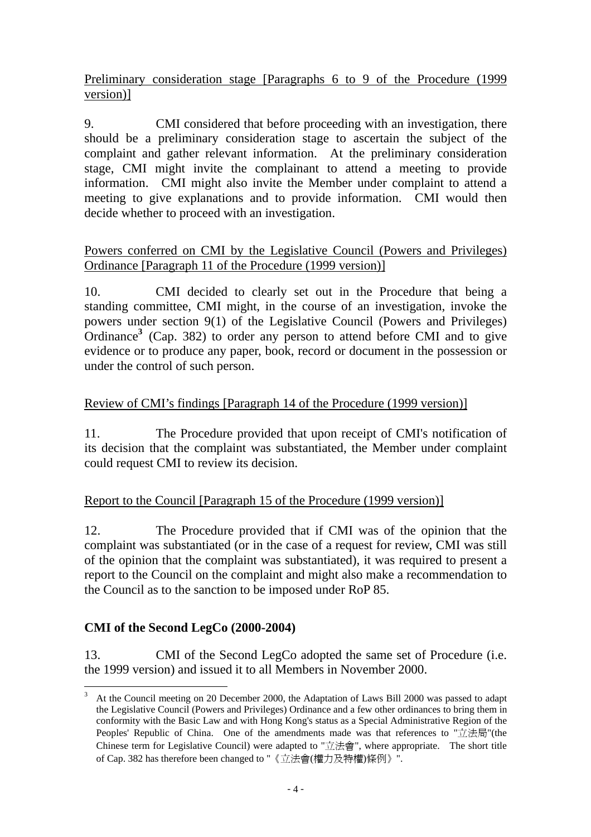Preliminary consideration stage [Paragraphs 6 to 9 of the Procedure (1999 version)]

9. CMI considered that before proceeding with an investigation, there should be a preliminary consideration stage to ascertain the subject of the complaint and gather relevant information. At the preliminary consideration stage, CMI might invite the complainant to attend a meeting to provide information. CMI might also invite the Member under complaint to attend a meeting to give explanations and to provide information. CMI would then decide whether to proceed with an investigation.

### Powers conferred on CMI by the Legislative Council (Powers and Privileges) Ordinance [Paragraph 11 of the Procedure (1999 version)]

10. CMI decided to clearly set out in the Procedure that being a standing committee, CMI might, in the course of an investigation, invoke the powers under section 9(1) of the Legislative Council (Powers and Privileges) Ordinance<sup>3</sup> (Cap. 382) to order any person to attend before CMI and to give evidence or to produce any paper, book, record or document in the possession or under the control of such person.

# Review of CMI's findings [Paragraph 14 of the Procedure (1999 version)]

11. The Procedure provided that upon receipt of CMI's notification of its decision that the complaint was substantiated, the Member under complaint could request CMI to review its decision.

# Report to the Council [Paragraph 15 of the Procedure (1999 version)]

12. The Procedure provided that if CMI was of the opinion that the complaint was substantiated (or in the case of a request for review, CMI was still of the opinion that the complaint was substantiated), it was required to present a report to the Council on the complaint and might also make a recommendation to the Council as to the sanction to be imposed under RoP 85.

# **CMI of the Second LegCo (2000-2004)**

13. CMI of the Second LegCo adopted the same set of Procedure (i.e. the 1999 version) and issued it to all Members in November 2000.

 $\overline{a}$ 3 At the Council meeting on 20 December 2000, the Adaptation of Laws Bill 2000 was passed to adapt the Legislative Council (Powers and Privileges) Ordinance and a few other ordinances to bring them in conformity with the Basic Law and with Hong Kong's status as a Special Administrative Region of the Peoples' Republic of China. One of the amendments made was that references to "立法局"(the Chinese term for Legislative Council) were adapted to "立法會", where appropriate. The short title of Cap. 382 has therefore been changed to "《立法會(權力及特權)條例》".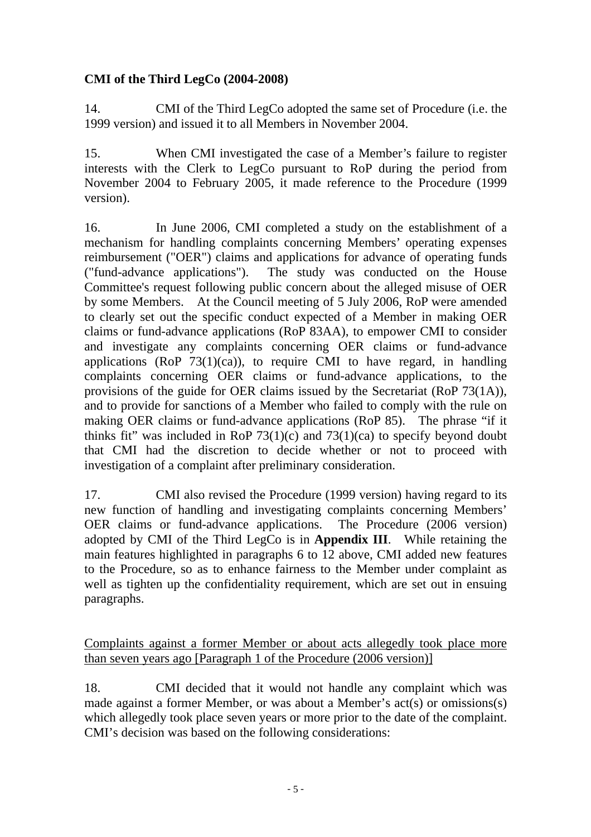# **CMI of the Third LegCo (2004-2008)**

14. CMI of the Third LegCo adopted the same set of Procedure (i.e. the 1999 version) and issued it to all Members in November 2004.

15. When CMI investigated the case of a Member's failure to register interests with the Clerk to LegCo pursuant to RoP during the period from November 2004 to February 2005, it made reference to the Procedure (1999 version).

16. In June 2006, CMI completed a study on the establishment of a mechanism for handling complaints concerning Members' operating expenses reimbursement ("OER") claims and applications for advance of operating funds ("fund-advance applications"). The study was conducted on the House Committee's request following public concern about the alleged misuse of OER by some Members. At the Council meeting of 5 July 2006, RoP were amended to clearly set out the specific conduct expected of a Member in making OER claims or fund-advance applications (RoP 83AA), to empower CMI to consider and investigate any complaints concerning OER claims or fund-advance applications (RoP  $73(1)(ca)$ ), to require CMI to have regard, in handling complaints concerning OER claims or fund-advance applications, to the provisions of the guide for OER claims issued by the Secretariat (RoP 73(1A)), and to provide for sanctions of a Member who failed to comply with the rule on making OER claims or fund-advance applications (RoP 85). The phrase "if it thinks fit" was included in RoP  $73(1)(c)$  and  $73(1)(ca)$  to specify beyond doubt that CMI had the discretion to decide whether or not to proceed with investigation of a complaint after preliminary consideration.

17. CMI also revised the Procedure (1999 version) having regard to its new function of handling and investigating complaints concerning Members' OER claims or fund-advance applications. The Procedure (2006 version) adopted by CMI of the Third LegCo is in **Appendix III**. While retaining the main features highlighted in paragraphs 6 to 12 above, CMI added new features to the Procedure, so as to enhance fairness to the Member under complaint as well as tighten up the confidentiality requirement, which are set out in ensuing paragraphs.

Complaints against a former Member or about acts allegedly took place more than seven years ago [Paragraph 1 of the Procedure (2006 version)]

18. CMI decided that it would not handle any complaint which was made against a former Member, or was about a Member's act(s) or omissions(s) which allegedly took place seven years or more prior to the date of the complaint. CMI's decision was based on the following considerations: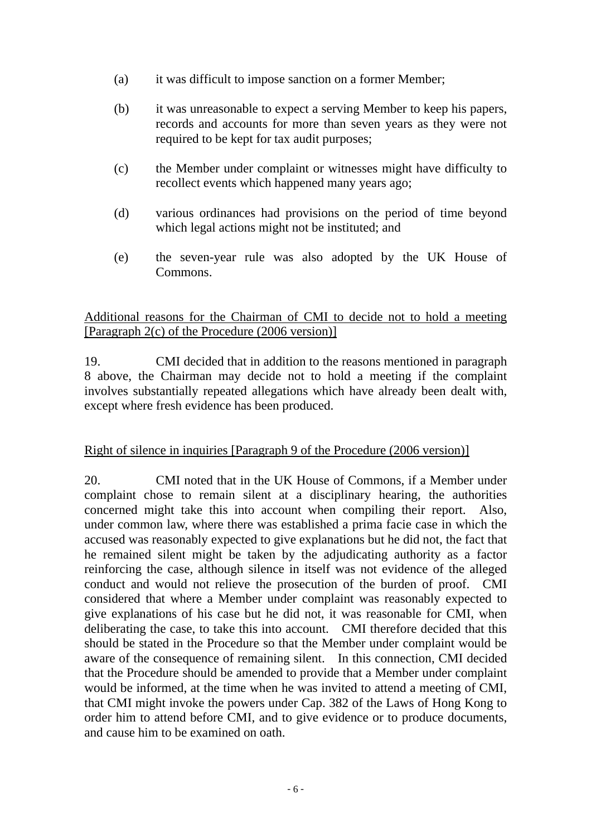- (a) it was difficult to impose sanction on a former Member;
- (b) it was unreasonable to expect a serving Member to keep his papers, records and accounts for more than seven years as they were not required to be kept for tax audit purposes;
- (c) the Member under complaint or witnesses might have difficulty to recollect events which happened many years ago;
- (d) various ordinances had provisions on the period of time beyond which legal actions might not be instituted; and
- (e) the seven-year rule was also adopted by the UK House of Commons.

### Additional reasons for the Chairman of CMI to decide not to hold a meeting [Paragraph 2(c) of the Procedure (2006 version)]

19. CMI decided that in addition to the reasons mentioned in paragraph 8 above, the Chairman may decide not to hold a meeting if the complaint involves substantially repeated allegations which have already been dealt with, except where fresh evidence has been produced.

# Right of silence in inquiries [Paragraph 9 of the Procedure (2006 version)]

20. CMI noted that in the UK House of Commons, if a Member under complaint chose to remain silent at a disciplinary hearing, the authorities concerned might take this into account when compiling their report. Also, under common law, where there was established a prima facie case in which the accused was reasonably expected to give explanations but he did not, the fact that he remained silent might be taken by the adjudicating authority as a factor reinforcing the case, although silence in itself was not evidence of the alleged conduct and would not relieve the prosecution of the burden of proof. CMI considered that where a Member under complaint was reasonably expected to give explanations of his case but he did not, it was reasonable for CMI, when deliberating the case, to take this into account. CMI therefore decided that this should be stated in the Procedure so that the Member under complaint would be aware of the consequence of remaining silent. In this connection, CMI decided that the Procedure should be amended to provide that a Member under complaint would be informed, at the time when he was invited to attend a meeting of CMI, that CMI might invoke the powers under Cap. 382 of the Laws of Hong Kong to order him to attend before CMI, and to give evidence or to produce documents, and cause him to be examined on oath.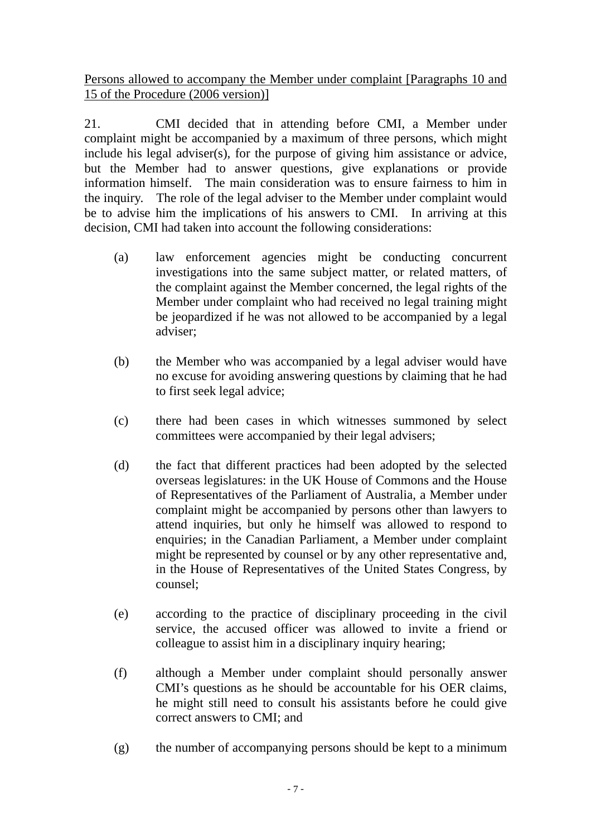Persons allowed to accompany the Member under complaint [Paragraphs 10 and 15 of the Procedure (2006 version)]

21. CMI decided that in attending before CMI, a Member under complaint might be accompanied by a maximum of three persons, which might include his legal adviser(s), for the purpose of giving him assistance or advice, but the Member had to answer questions, give explanations or provide information himself. The main consideration was to ensure fairness to him in the inquiry. The role of the legal adviser to the Member under complaint would be to advise him the implications of his answers to CMI. In arriving at this decision, CMI had taken into account the following considerations:

- (a) law enforcement agencies might be conducting concurrent investigations into the same subject matter, or related matters, of the complaint against the Member concerned, the legal rights of the Member under complaint who had received no legal training might be jeopardized if he was not allowed to be accompanied by a legal adviser;
- (b) the Member who was accompanied by a legal adviser would have no excuse for avoiding answering questions by claiming that he had to first seek legal advice;
- (c) there had been cases in which witnesses summoned by select committees were accompanied by their legal advisers;
- (d) the fact that different practices had been adopted by the selected overseas legislatures: in the UK House of Commons and the House of Representatives of the Parliament of Australia, a Member under complaint might be accompanied by persons other than lawyers to attend inquiries, but only he himself was allowed to respond to enquiries; in the Canadian Parliament, a Member under complaint might be represented by counsel or by any other representative and, in the House of Representatives of the United States Congress, by counsel;
- (e) according to the practice of disciplinary proceeding in the civil service, the accused officer was allowed to invite a friend or colleague to assist him in a disciplinary inquiry hearing;
- (f) although a Member under complaint should personally answer CMI's questions as he should be accountable for his OER claims, he might still need to consult his assistants before he could give correct answers to CMI; and
- (g) the number of accompanying persons should be kept to a minimum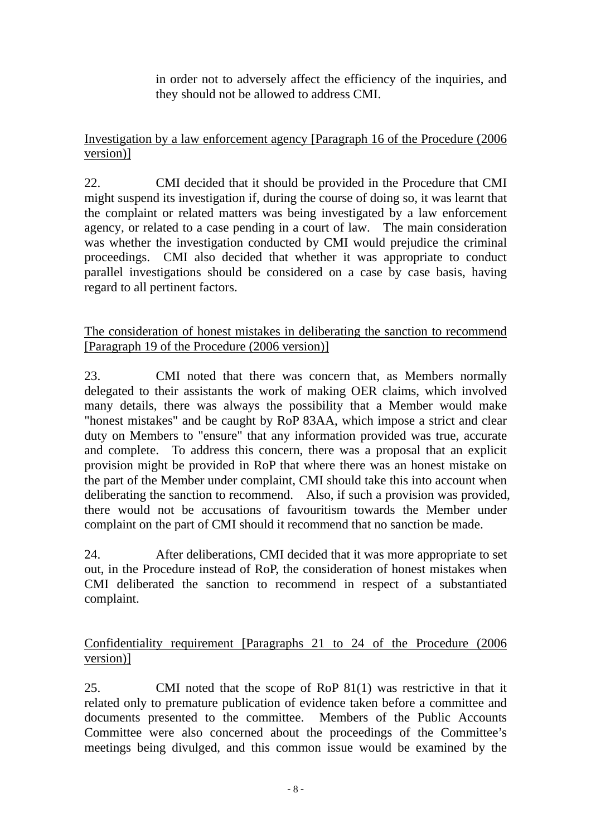in order not to adversely affect the efficiency of the inquiries, and they should not be allowed to address CMI.

# Investigation by a law enforcement agency [Paragraph 16 of the Procedure (2006 version)]

22. CMI decided that it should be provided in the Procedure that CMI might suspend its investigation if, during the course of doing so, it was learnt that the complaint or related matters was being investigated by a law enforcement agency, or related to a case pending in a court of law. The main consideration was whether the investigation conducted by CMI would prejudice the criminal proceedings. CMI also decided that whether it was appropriate to conduct parallel investigations should be considered on a case by case basis, having regard to all pertinent factors.

### The consideration of honest mistakes in deliberating the sanction to recommend [Paragraph 19 of the Procedure (2006 version)]

23. CMI noted that there was concern that, as Members normally delegated to their assistants the work of making OER claims, which involved many details, there was always the possibility that a Member would make "honest mistakes" and be caught by RoP 83AA, which impose a strict and clear duty on Members to "ensure" that any information provided was true, accurate and complete. To address this concern, there was a proposal that an explicit provision might be provided in RoP that where there was an honest mistake on the part of the Member under complaint, CMI should take this into account when deliberating the sanction to recommend. Also, if such a provision was provided, there would not be accusations of favouritism towards the Member under complaint on the part of CMI should it recommend that no sanction be made.

24. After deliberations, CMI decided that it was more appropriate to set out, in the Procedure instead of RoP, the consideration of honest mistakes when CMI deliberated the sanction to recommend in respect of a substantiated complaint.

# Confidentiality requirement [Paragraphs 21 to 24 of the Procedure (2006 version)]

25. CMI noted that the scope of RoP 81(1) was restrictive in that it related only to premature publication of evidence taken before a committee and documents presented to the committee. Members of the Public Accounts Committee were also concerned about the proceedings of the Committee's meetings being divulged, and this common issue would be examined by the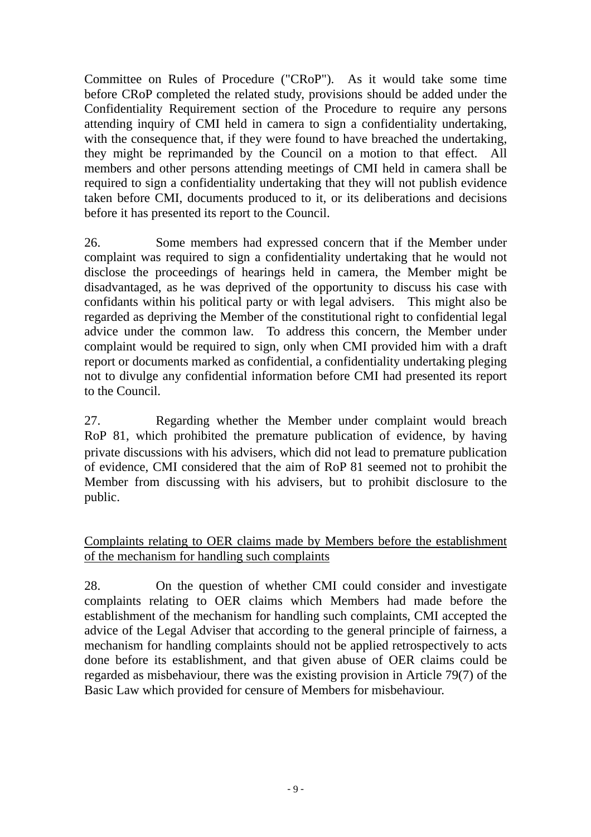Committee on Rules of Procedure ("CRoP"). As it would take some time before CRoP completed the related study, provisions should be added under the Confidentiality Requirement section of the Procedure to require any persons attending inquiry of CMI held in camera to sign a confidentiality undertaking, with the consequence that, if they were found to have breached the undertaking, they might be reprimanded by the Council on a motion to that effect. All members and other persons attending meetings of CMI held in camera shall be required to sign a confidentiality undertaking that they will not publish evidence taken before CMI, documents produced to it, or its deliberations and decisions before it has presented its report to the Council.

26. Some members had expressed concern that if the Member under complaint was required to sign a confidentiality undertaking that he would not disclose the proceedings of hearings held in camera, the Member might be disadvantaged, as he was deprived of the opportunity to discuss his case with confidants within his political party or with legal advisers. This might also be regarded as depriving the Member of the constitutional right to confidential legal advice under the common law. To address this concern, the Member under complaint would be required to sign, only when CMI provided him with a draft report or documents marked as confidential, a confidentiality undertaking pleging not to divulge any confidential information before CMI had presented its report to the Council.

27. Regarding whether the Member under complaint would breach RoP 81, which prohibited the premature publication of evidence, by having private discussions with his advisers, which did not lead to premature publication of evidence, CMI considered that the aim of RoP 81 seemed not to prohibit the Member from discussing with his advisers, but to prohibit disclosure to the public.

Complaints relating to OER claims made by Members before the establishment of the mechanism for handling such complaints

28. On the question of whether CMI could consider and investigate complaints relating to OER claims which Members had made before the establishment of the mechanism for handling such complaints, CMI accepted the advice of the Legal Adviser that according to the general principle of fairness, a mechanism for handling complaints should not be applied retrospectively to acts done before its establishment, and that given abuse of OER claims could be regarded as misbehaviour, there was the existing provision in Article 79(7) of the Basic Law which provided for censure of Members for misbehaviour.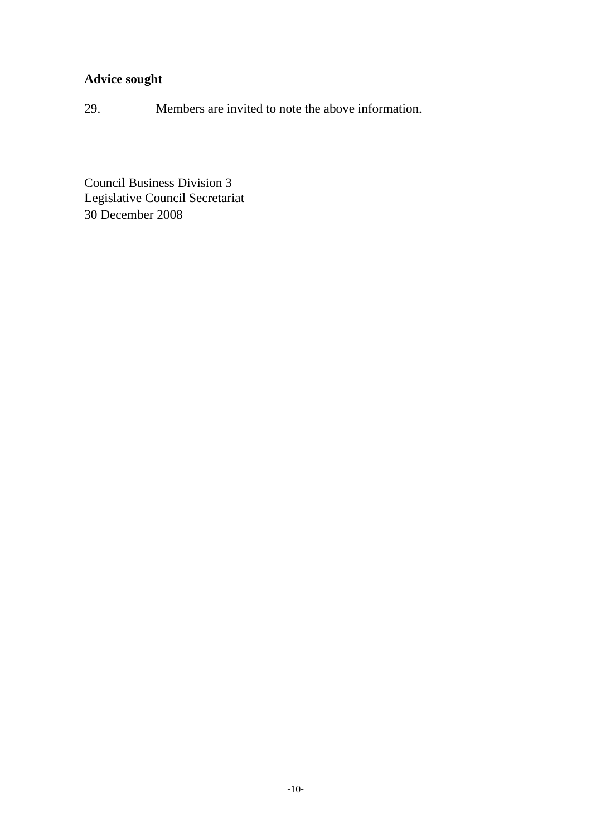# **Advice sought**

29. Members are invited to note the above information.

Council Business Division 3 Legislative Council Secretariat 30 December 2008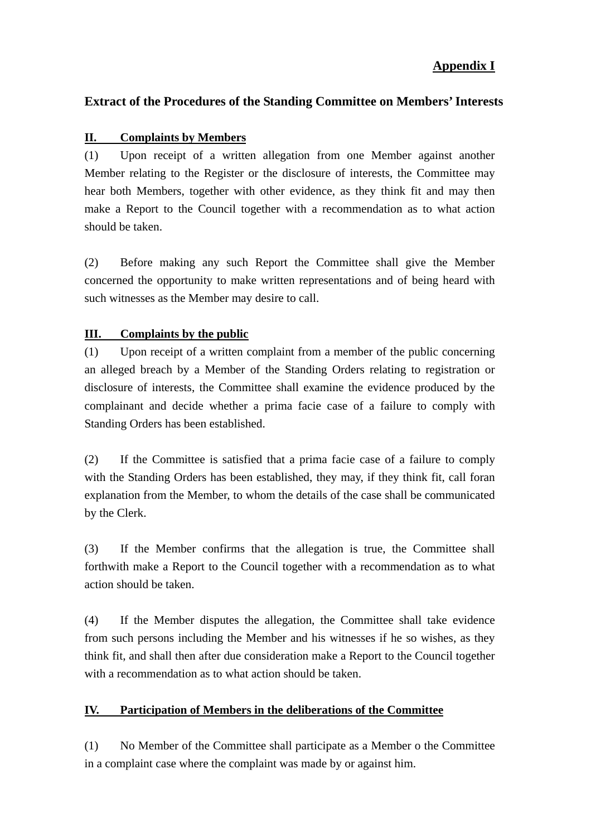### **Appendix I**

### **Extract of the Procedures of the Standing Committee on Members' Interests**

#### **II. Complaints by Members**

(1) Upon receipt of a written allegation from one Member against another Member relating to the Register or the disclosure of interests, the Committee may hear both Members, together with other evidence, as they think fit and may then make a Report to the Council together with a recommendation as to what action should be taken.

(2) Before making any such Report the Committee shall give the Member concerned the opportunity to make written representations and of being heard with such witnesses as the Member may desire to call.

#### **III. Complaints by the public**

(1) Upon receipt of a written complaint from a member of the public concerning an alleged breach by a Member of the Standing Orders relating to registration or disclosure of interests, the Committee shall examine the evidence produced by the complainant and decide whether a prima facie case of a failure to comply with Standing Orders has been established.

(2) If the Committee is satisfied that a prima facie case of a failure to comply with the Standing Orders has been established, they may, if they think fit, call foran explanation from the Member, to whom the details of the case shall be communicated by the Clerk.

(3) If the Member confirms that the allegation is true, the Committee shall forthwith make a Report to the Council together with a recommendation as to what action should be taken.

(4) If the Member disputes the allegation, the Committee shall take evidence from such persons including the Member and his witnesses if he so wishes, as they think fit, and shall then after due consideration make a Report to the Council together with a recommendation as to what action should be taken.

#### **IV. Participation of Members in the deliberations of the Committee**

(1) No Member of the Committee shall participate as a Member o the Committee in a complaint case where the complaint was made by or against him.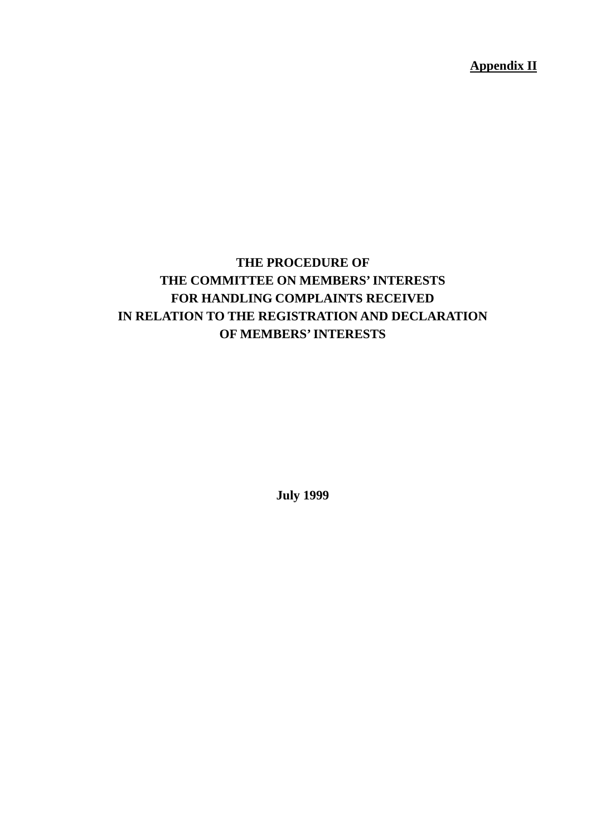**Appendix II**

# **THE PROCEDURE OF THE COMMITTEE ON MEMBERS' INTERESTS FOR HANDLING COMPLAINTS RECEIVED IN RELATION TO THE REGISTRATION AND DECLARATION OF MEMBERS' INTERESTS**

**July 1999**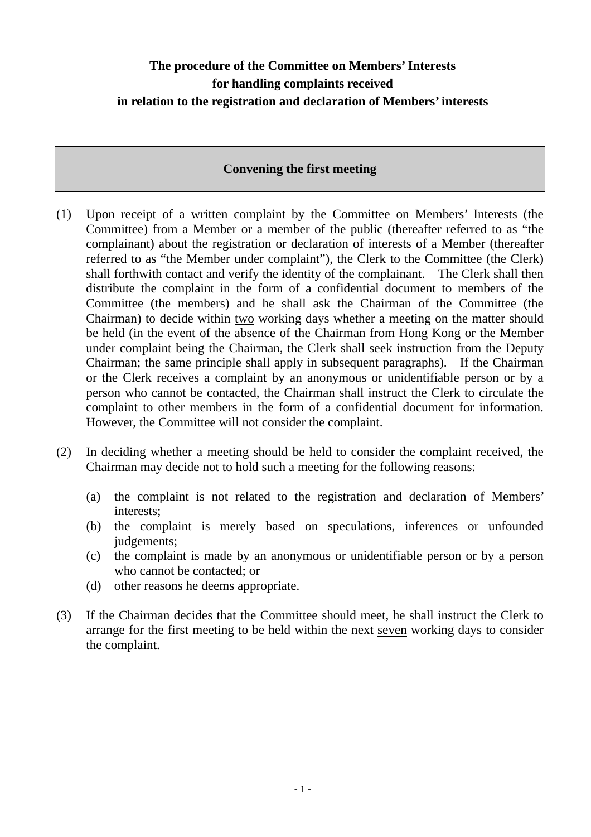# **The procedure of the Committee on Members' Interests for handling complaints received in relation to the registration and declaration of Members' interests**

### **Convening the first meeting**

- (1) Upon receipt of a written complaint by the Committee on Members' Interests (the Committee) from a Member or a member of the public (thereafter referred to as "the complainant) about the registration or declaration of interests of a Member (thereafter referred to as "the Member under complaint"), the Clerk to the Committee (the Clerk) shall forthwith contact and verify the identity of the complainant. The Clerk shall then distribute the complaint in the form of a confidential document to members of the Committee (the members) and he shall ask the Chairman of the Committee (the Chairman) to decide within two working days whether a meeting on the matter should be held (in the event of the absence of the Chairman from Hong Kong or the Member under complaint being the Chairman, the Clerk shall seek instruction from the Deputy Chairman; the same principle shall apply in subsequent paragraphs). If the Chairman or the Clerk receives a complaint by an anonymous or unidentifiable person or by a person who cannot be contacted, the Chairman shall instruct the Clerk to circulate the complaint to other members in the form of a confidential document for information. However, the Committee will not consider the complaint.
- $(2)$  In deciding whether a meeting should be held to consider the complaint received, the Chairman may decide not to hold such a meeting for the following reasons:
	- (a) the complaint is not related to the registration and declaration of Members' interests;
	- (b) the complaint is merely based on speculations, inferences or unfounded judgements;
	- (c) the complaint is made by an anonymous or unidentifiable person or by a person who cannot be contacted; or
	- (d) other reasons he deems appropriate.
- $(3)$  If the Chairman decides that the Committee should meet, he shall instruct the Clerk to arrange for the first meeting to be held within the next seven working days to consider the complaint.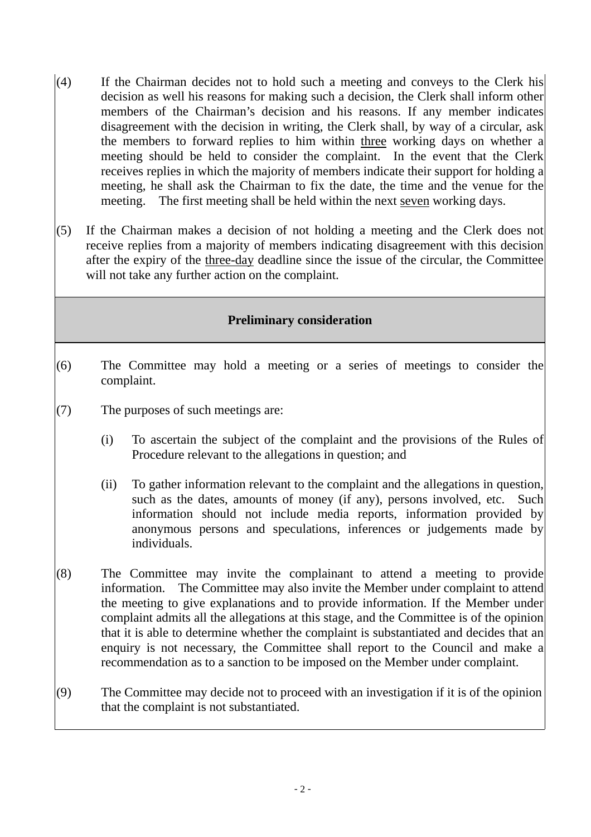- (4) If the Chairman decides not to hold such a meeting and conveys to the Clerk his decision as well his reasons for making such a decision, the Clerk shall inform other members of the Chairman's decision and his reasons. If any member indicates disagreement with the decision in writing, the Clerk shall, by way of a circular, ask the members to forward replies to him within three working days on whether a meeting should be held to consider the complaint. In the event that the Clerk receives replies in which the majority of members indicate their support for holding a meeting, he shall ask the Chairman to fix the date, the time and the venue for the meeting. The first meeting shall be held within the next seven working days.
- (5) If the Chairman makes a decision of not holding a meeting and the Clerk does not receive replies from a majority of members indicating disagreement with this decision after the expiry of the three-day deadline since the issue of the circular, the Committee will not take any further action on the complaint.

### **Preliminary consideration**

- (6) The Committee may hold a meeting or a series of meetings to consider the complaint.
- $(7)$  The purposes of such meetings are:
	- (i) To ascertain the subject of the complaint and the provisions of the Rules of Procedure relevant to the allegations in question; and
	- (ii) To gather information relevant to the complaint and the allegations in question, such as the dates, amounts of money (if any), persons involved, etc. Such information should not include media reports, information provided by anonymous persons and speculations, inferences or judgements made by individuals.
- (8) The Committee may invite the complainant to attend a meeting to provide information. The Committee may also invite the Member under complaint to attend the meeting to give explanations and to provide information. If the Member under complaint admits all the allegations at this stage, and the Committee is of the opinion that it is able to determine whether the complaint is substantiated and decides that an enquiry is not necessary, the Committee shall report to the Council and make a recommendation as to a sanction to be imposed on the Member under complaint.
- (9) The Committee may decide not to proceed with an investigation if it is of the opinion that the complaint is not substantiated.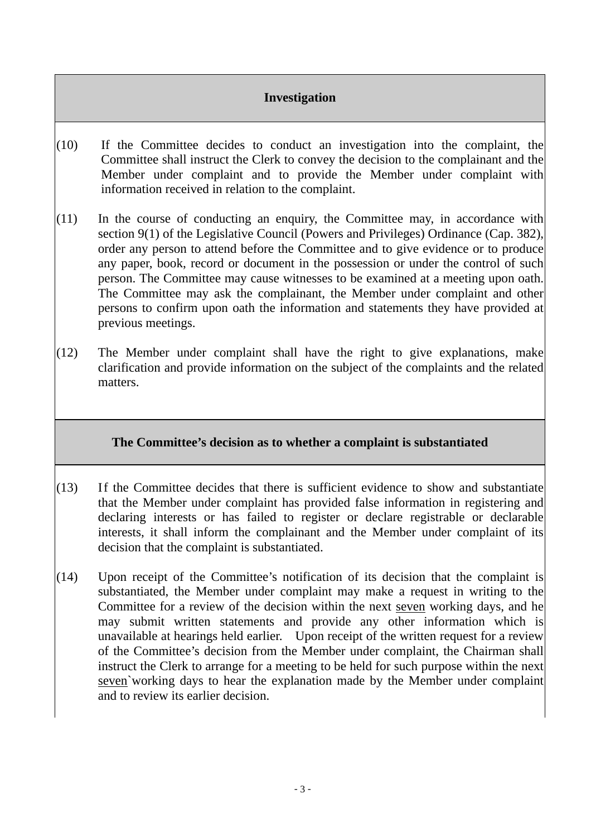# **Investigation**

- (10) If the Committee decides to conduct an investigation into the complaint, the Committee shall instruct the Clerk to convey the decision to the complainant and the Member under complaint and to provide the Member under complaint with information received in relation to the complaint.
- $(11)$  In the course of conducting an enquiry, the Committee may, in accordance with section 9(1) of the Legislative Council (Powers and Privileges) Ordinance (Cap. 382), order any person to attend before the Committee and to give evidence or to produce any paper, book, record or document in the possession or under the control of such person. The Committee may cause witnesses to be examined at a meeting upon oath. The Committee may ask the complainant, the Member under complaint and other persons to confirm upon oath the information and statements they have provided at previous meetings.
- $(12)$  The Member under complaint shall have the right to give explanations, make clarification and provide information on the subject of the complaints and the related matters.

# **The Committee's decision as to whether a complaint is substantiated**

- $(13)$  If the Committee decides that there is sufficient evidence to show and substantiate that the Member under complaint has provided false information in registering and declaring interests or has failed to register or declare registrable or declarable interests, it shall inform the complainant and the Member under complaint of its decision that the complaint is substantiated.
- $(14)$  Upon receipt of the Committee's notification of its decision that the complaint is substantiated, the Member under complaint may make a request in writing to the Committee for a review of the decision within the next seven working days, and he may submit written statements and provide any other information which is unavailable at hearings held earlier. Upon receipt of the written request for a review of the Committee's decision from the Member under complaint, the Chairman shall instruct the Clerk to arrange for a meeting to be held for such purpose within the next seven`working days to hear the explanation made by the Member under complaint and to review its earlier decision.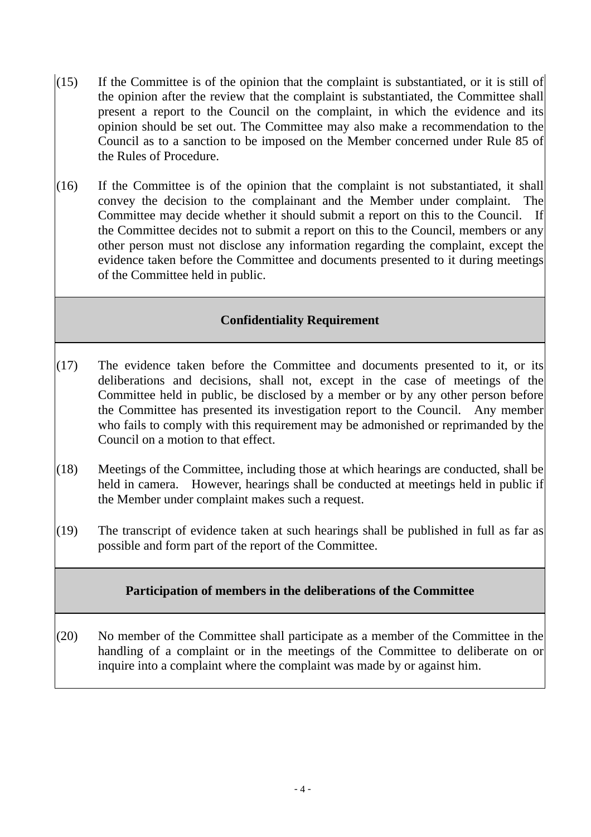- $(15)$  If the Committee is of the opinion that the complaint is substantiated, or it is still of the opinion after the review that the complaint is substantiated, the Committee shall present a report to the Council on the complaint, in which the evidence and its opinion should be set out. The Committee may also make a recommendation to the Council as to a sanction to be imposed on the Member concerned under Rule 85 of the Rules of Procedure.
- $(16)$  If the Committee is of the opinion that the complaint is not substantiated, it shall convey the decision to the complainant and the Member under complaint. The Committee may decide whether it should submit a report on this to the Council. If the Committee decides not to submit a report on this to the Council, members or any other person must not disclose any information regarding the complaint, except the evidence taken before the Committee and documents presented to it during meetings of the Committee held in public.

### **Confidentiality Requirement**

- $(17)$  The evidence taken before the Committee and documents presented to it, or its deliberations and decisions, shall not, except in the case of meetings of the Committee held in public, be disclosed by a member or by any other person before the Committee has presented its investigation report to the Council. Any member who fails to comply with this requirement may be admonished or reprimanded by the Council on a motion to that effect.
- (18) Meetings of the Committee, including those at which hearings are conducted, shall be held in camera. However, hearings shall be conducted at meetings held in public if the Member under complaint makes such a request.
- (19) The transcript of evidence taken at such hearings shall be published in full as far as possible and form part of the report of the Committee.

### **Participation of members in the deliberations of the Committee**

(20) No member of the Committee shall participate as a member of the Committee in the handling of a complaint or in the meetings of the Committee to deliberate on or inquire into a complaint where the complaint was made by or against him.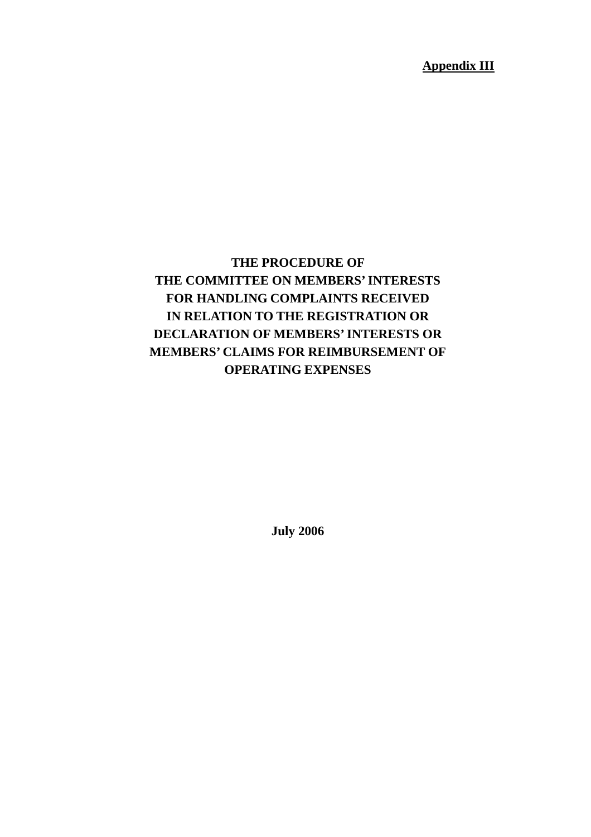**Appendix III**

# **THE PROCEDURE OF THE COMMITTEE ON MEMBERS' INTERESTS FOR HANDLING COMPLAINTS RECEIVED IN RELATION TO THE REGISTRATION OR DECLARATION OF MEMBERS' INTERESTS OR MEMBERS' CLAIMS FOR REIMBURSEMENT OF OPERATING EXPENSES**

**July 2006**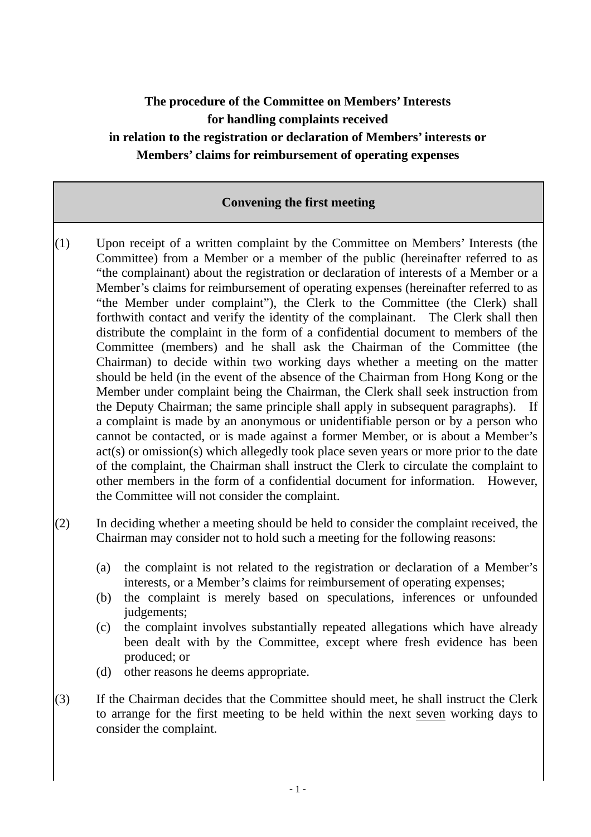# **The procedure of the Committee on Members' Interests for handling complaints received in relation to the registration or declaration of Members' interests or Members' claims for reimbursement of operating expenses**

### **Convening the first meeting**

- (1) Upon receipt of a written complaint by the Committee on Members' Interests (the Committee) from a Member or a member of the public (hereinafter referred to as "the complainant) about the registration or declaration of interests of a Member or a Member's claims for reimbursement of operating expenses (hereinafter referred to as "the Member under complaint"), the Clerk to the Committee (the Clerk) shall forthwith contact and verify the identity of the complainant. The Clerk shall then distribute the complaint in the form of a confidential document to members of the Committee (members) and he shall ask the Chairman of the Committee (the Chairman) to decide within two working days whether a meeting on the matter should be held (in the event of the absence of the Chairman from Hong Kong or the Member under complaint being the Chairman, the Clerk shall seek instruction from the Deputy Chairman; the same principle shall apply in subsequent paragraphs). If a complaint is made by an anonymous or unidentifiable person or by a person who cannot be contacted, or is made against a former Member, or is about a Member's act(s) or omission(s) which allegedly took place seven years or more prior to the date of the complaint, the Chairman shall instruct the Clerk to circulate the complaint to other members in the form of a confidential document for information. However, the Committee will not consider the complaint.
- (2) In deciding whether a meeting should be held to consider the complaint received, the Chairman may consider not to hold such a meeting for the following reasons:
	- (a) the complaint is not related to the registration or declaration of a Member's interests, or a Member's claims for reimbursement of operating expenses;
	- (b) the complaint is merely based on speculations, inferences or unfounded judgements;
	- (c) the complaint involves substantially repeated allegations which have already been dealt with by the Committee, except where fresh evidence has been produced; or
	- (d) other reasons he deems appropriate.
- $(3)$  If the Chairman decides that the Committee should meet, he shall instruct the Clerk to arrange for the first meeting to be held within the next seven working days to consider the complaint.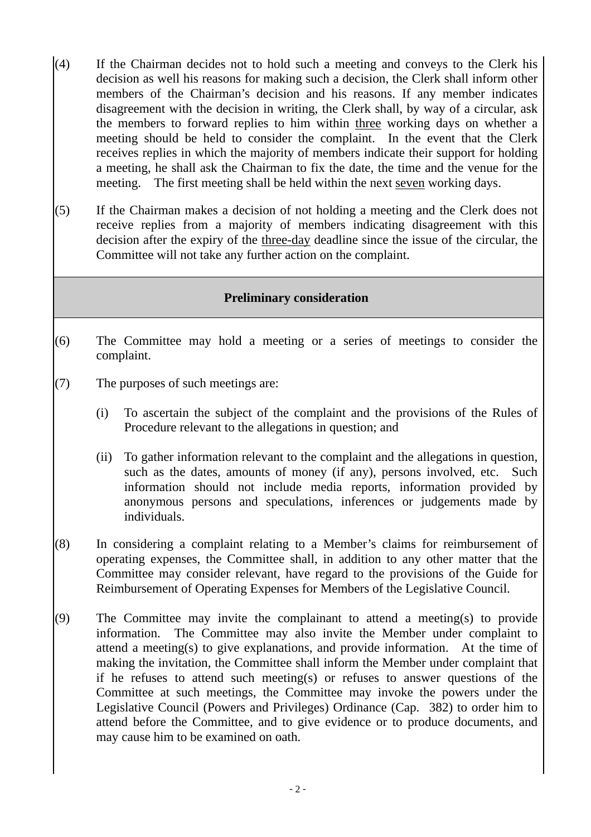- $(4)$  If the Chairman decides not to hold such a meeting and conveys to the Clerk his decision as well his reasons for making such a decision, the Clerk shall inform other members of the Chairman's decision and his reasons. If any member indicates disagreement with the decision in writing, the Clerk shall, by way of a circular, ask the members to forward replies to him within three working days on whether a meeting should be held to consider the complaint. In the event that the Clerk receives replies in which the majority of members indicate their support for holding a meeting, he shall ask the Chairman to fix the date, the time and the venue for the meeting. The first meeting shall be held within the next seven working days.
- (5) If the Chairman makes a decision of not holding a meeting and the Clerk does not receive replies from a majority of members indicating disagreement with this decision after the expiry of the three-day deadline since the issue of the circular, the Committee will not take any further action on the complaint.

### **Preliminary consideration**

- (6) The Committee may hold a meeting or a series of meetings to consider the complaint.
- (7) The purposes of such meetings are:
	- (i) To ascertain the subject of the complaint and the provisions of the Rules of Procedure relevant to the allegations in question; and
	- (ii) To gather information relevant to the complaint and the allegations in question, such as the dates, amounts of money (if any), persons involved, etc. Such information should not include media reports, information provided by anonymous persons and speculations, inferences or judgements made by individuals.
- (8) In considering a complaint relating to a Member's claims for reimbursement of operating expenses, the Committee shall, in addition to any other matter that the Committee may consider relevant, have regard to the provisions of the Guide for Reimbursement of Operating Expenses for Members of the Legislative Council.
- (9) The Committee may invite the complainant to attend a meeting(s) to provide information. The Committee may also invite the Member under complaint to attend a meeting(s) to give explanations, and provide information. At the time of making the invitation, the Committee shall inform the Member under complaint that if he refuses to attend such meeting(s) or refuses to answer questions of the Committee at such meetings, the Committee may invoke the powers under the Legislative Council (Powers and Privileges) Ordinance (Cap. 382) to order him to attend before the Committee, and to give evidence or to produce documents, and may cause him to be examined on oath.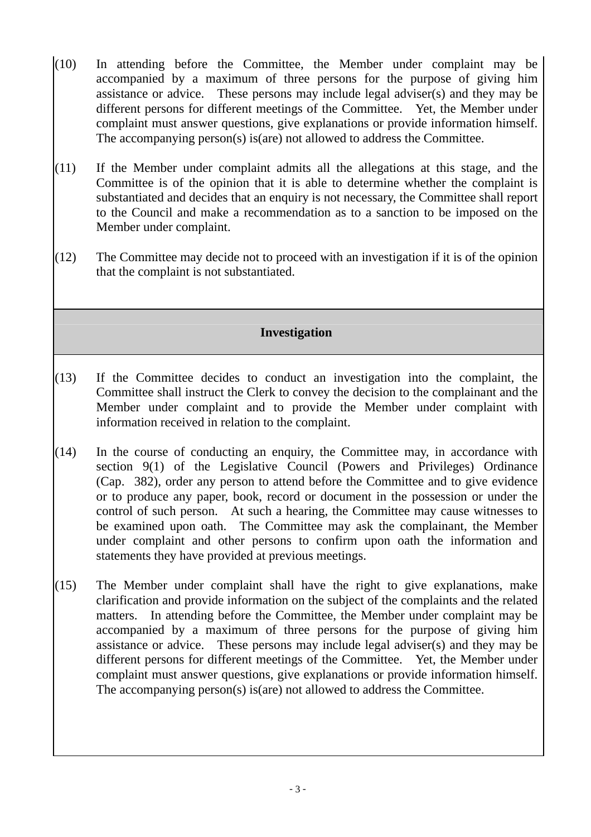- $(10)$  In attending before the Committee, the Member under complaint may be accompanied by a maximum of three persons for the purpose of giving him assistance or advice. These persons may include legal adviser(s) and they may be different persons for different meetings of the Committee. Yet, the Member under complaint must answer questions, give explanations or provide information himself. The accompanying person(s) is(are) not allowed to address the Committee.
- (11) If the Member under complaint admits all the allegations at this stage, and the Committee is of the opinion that it is able to determine whether the complaint is substantiated and decides that an enquiry is not necessary, the Committee shall report to the Council and make a recommendation as to a sanction to be imposed on the Member under complaint.
- $(12)$  The Committee may decide not to proceed with an investigation if it is of the opinion that the complaint is not substantiated.

# **Investigation**

- $(13)$  If the Committee decides to conduct an investigation into the complaint, the Committee shall instruct the Clerk to convey the decision to the complainant and the Member under complaint and to provide the Member under complaint with information received in relation to the complaint.
- $(14)$  In the course of conducting an enquiry, the Committee may, in accordance with section 9(1) of the Legislative Council (Powers and Privileges) Ordinance (Cap. 382), order any person to attend before the Committee and to give evidence or to produce any paper, book, record or document in the possession or under the control of such person. At such a hearing, the Committee may cause witnesses to be examined upon oath. The Committee may ask the complainant, the Member under complaint and other persons to confirm upon oath the information and statements they have provided at previous meetings.
- (15) The Member under complaint shall have the right to give explanations, make clarification and provide information on the subject of the complaints and the related matters. In attending before the Committee, the Member under complaint may be accompanied by a maximum of three persons for the purpose of giving him assistance or advice. These persons may include legal adviser(s) and they may be different persons for different meetings of the Committee. Yet, the Member under complaint must answer questions, give explanations or provide information himself. The accompanying person(s) is(are) not allowed to address the Committee.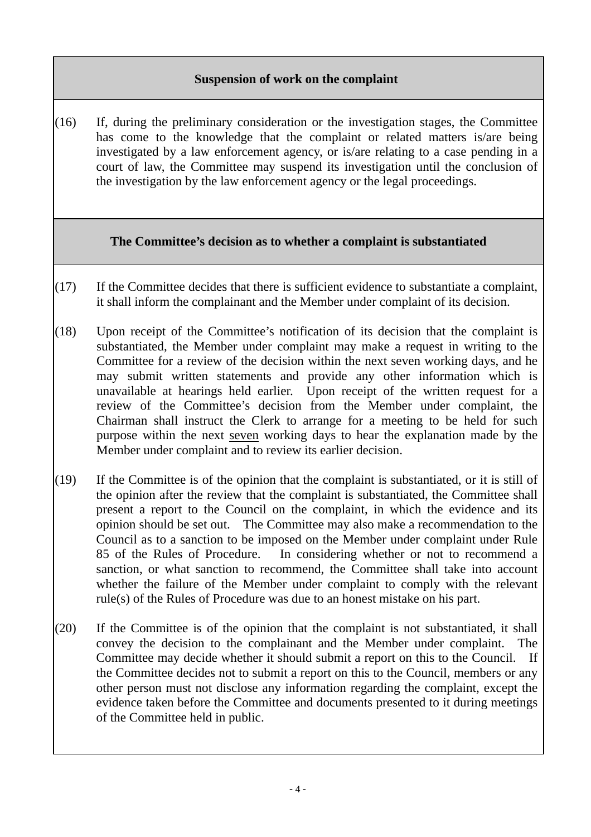### **Suspension of work on the complaint**

 $(16)$  If, during the preliminary consideration or the investigation stages, the Committee has come to the knowledge that the complaint or related matters is/are being investigated by a law enforcement agency, or is/are relating to a case pending in a court of law, the Committee may suspend its investigation until the conclusion of the investigation by the law enforcement agency or the legal proceedings.

### **The Committee's decision as to whether a complaint is substantiated**

- $(17)$  If the Committee decides that there is sufficient evidence to substantiate a complaint, it shall inform the complainant and the Member under complaint of its decision.
- (18) Upon receipt of the Committee's notification of its decision that the complaint is substantiated, the Member under complaint may make a request in writing to the Committee for a review of the decision within the next seven working days, and he may submit written statements and provide any other information which is unavailable at hearings held earlier. Upon receipt of the written request for a review of the Committee's decision from the Member under complaint, the Chairman shall instruct the Clerk to arrange for a meeting to be held for such purpose within the next seven working days to hear the explanation made by the Member under complaint and to review its earlier decision.
- $(19)$  If the Committee is of the opinion that the complaint is substantiated, or it is still of the opinion after the review that the complaint is substantiated, the Committee shall present a report to the Council on the complaint, in which the evidence and its opinion should be set out. The Committee may also make a recommendation to the Council as to a sanction to be imposed on the Member under complaint under Rule 85 of the Rules of Procedure. In considering whether or not to recommend a sanction, or what sanction to recommend, the Committee shall take into account whether the failure of the Member under complaint to comply with the relevant rule(s) of the Rules of Procedure was due to an honest mistake on his part.
- $(20)$  If the Committee is of the opinion that the complaint is not substantiated, it shall convey the decision to the complainant and the Member under complaint. The Committee may decide whether it should submit a report on this to the Council. If the Committee decides not to submit a report on this to the Council, members or any other person must not disclose any information regarding the complaint, except the evidence taken before the Committee and documents presented to it during meetings of the Committee held in public.